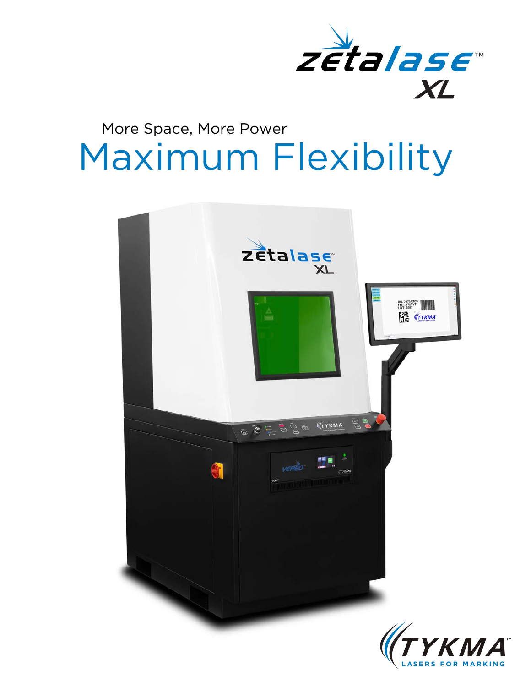

## Maximum Flexibility More Space, More Power

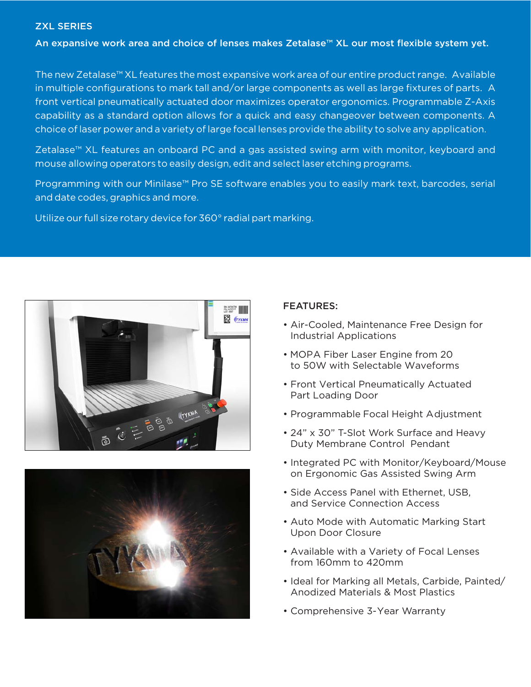## ZXL SERIES

An expansive work area and choice of lenses makes Zetalase™ XL our most flexible system yet.

The new Zetalase™ XL features the most expansive work area of our entire product range. Available in multiple configurations to mark tall and/or large components as well as large fixtures of parts. A front vertical pneumatically actuated door maximizes operator ergonomics. Programmable Z-Axis capability as a standard option allows for a quick and easy changeover between components. A choice of laser power and a variety of large focal lenses provide the ability to solve any application.

Zetalase™ XL features an onboard PC and a gas assisted swing arm with monitor, keyboard and mouse allowing operators to easily design, edit and select laser etching programs.

Programming with our Minilase<sup>™</sup> Pro SE software enables you to easily mark text, barcodes, serial and date codes, graphics and more.

Utilize our full size rotary device for 360° radial part marking.





## FEATURES:

- Air-Cooled, Maintenance Free Design for Industrial Applications
- MOPA Fiber Laser Engine from 20 to 50W with Selectable Waveforms
- Front Vertical Pneumatically Actuated Part Loading Door
- Programmable Focal Height Adjustment
- 24" x 30" T-Slot Work Surface and Heavy Duty Membrane Control Pendant
- Integrated PC with Monitor/Keyboard/Mouse on Ergonomic Gas Assisted Swing Arm
- Side Access Panel with Ethernet, USB, and Service Connection Access
- Auto Mode with Automatic Marking Start Upon Door Closure
- Available with a Variety of Focal Lenses from 160mm to 420mm
- Ideal for Marking all Metals, Carbide, Painted/ Anodized Materials & Most Plastics
- Comprehensive 3-Year Warranty